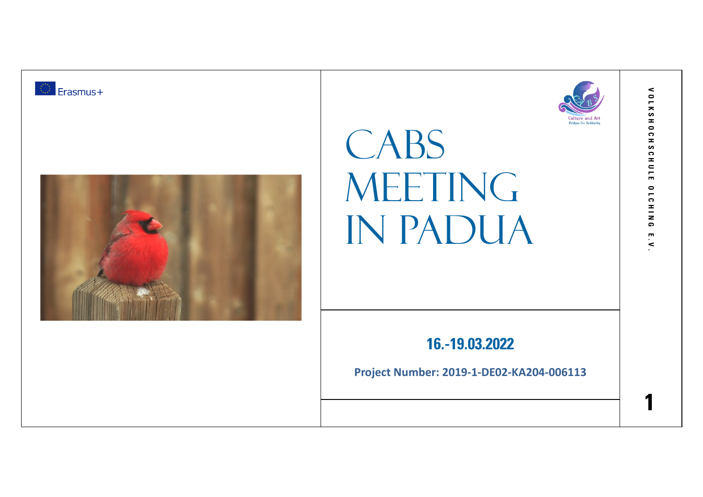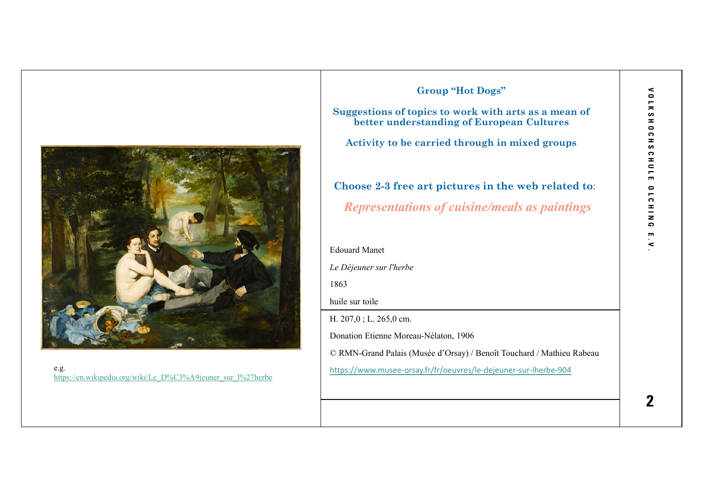

e.g.<br>https://en.wikipedia.org/wiki/Le\_D%C3%A9jeuner\_sur\_l%27herbe

|      | <b>Group "Hot Dogs"</b>                                                                           |
|------|---------------------------------------------------------------------------------------------------|
|      | Suggestions of topics to work with arts as a mean of<br>better understanding of European Cultures |
|      | Activity to be carried through in mixed groups                                                    |
|      | Choose 2-3 free art pictures in the web related to:                                               |
|      | <b>Representations of cuisine/meals as paintings</b>                                              |
|      | <b>Edouard Manet</b>                                                                              |
|      | Le Déjeuner sur l'herbe                                                                           |
| 1863 |                                                                                                   |
|      | huile sur toile                                                                                   |
|      | H. $207,0$ ; L. $265,0$ cm.                                                                       |
|      | Donation Etienne Moreau-Nélaton, 1906                                                             |
|      | © RMN-Grand Palais (Musée d'Orsay) / Benoît Touchard / Mathieu Rabeau                             |
|      | https://www.musee-orsay.fr/fr/oeuvres/le-dejeuner-sur-lherbe-904                                  |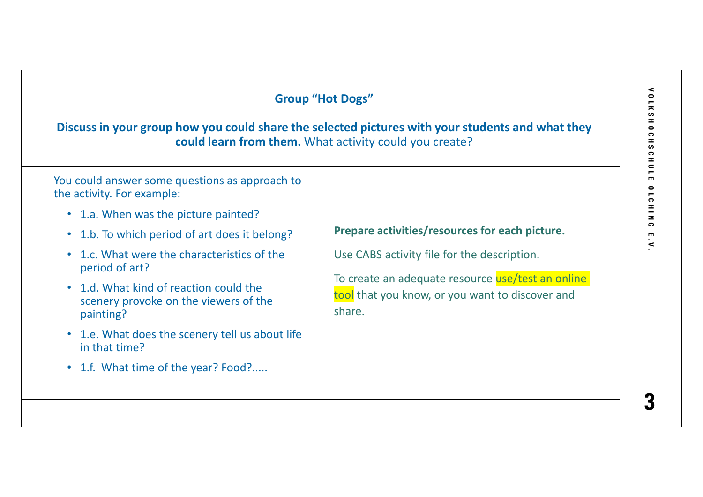| Discuss in your group how you could share the selected pictures with your students and what they<br>could learn from them. What activity could you create?                                                                                                                                                                                                                                                                                  |                                                                                                                                                                                                                 |  |  |  |
|---------------------------------------------------------------------------------------------------------------------------------------------------------------------------------------------------------------------------------------------------------------------------------------------------------------------------------------------------------------------------------------------------------------------------------------------|-----------------------------------------------------------------------------------------------------------------------------------------------------------------------------------------------------------------|--|--|--|
| You could answer some questions as approach to<br>the activity. For example:<br>• 1.a. When was the picture painted?<br>1.b. To which period of art does it belong?<br>1.c. What were the characteristics of the<br>period of art?<br>• 1.d. What kind of reaction could the<br>scenery provoke on the viewers of the<br>painting?<br>1.e. What does the scenery tell us about life<br>in that time?<br>• 1.f. What time of the year? Food? | Prepare activities/resources for each picture.<br>Use CABS activity file for the description.<br>To create an adequate resource use/test an online<br>tool that you know, or you want to discover and<br>share. |  |  |  |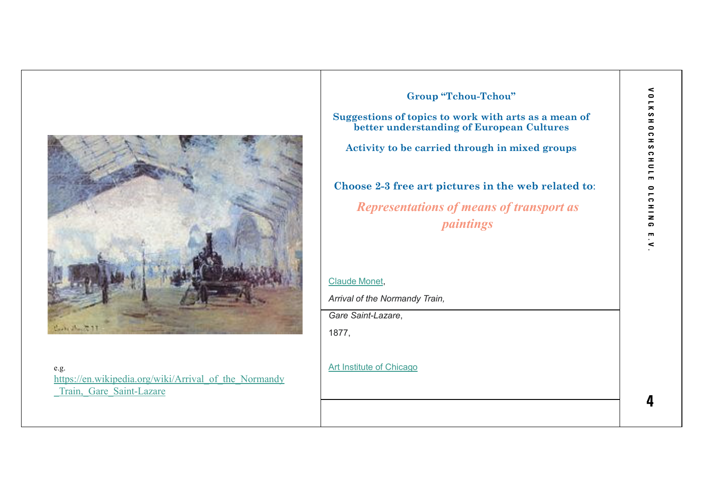

e.g. https://en.wikipedia.org/wiki/Arrival\_of\_the\_Normandy Train, Gare Saint-Lazare

**Group "Tchou-Tchou"Suggestions of topics to work with arts as a mean of better understanding of European CulturesActivity to be carried through in mixed groupsChoose 2-3 free art pictures in the web related to**:*Representations of means of transport as paintings*Claude Monet,*Arrival of the Normandy Train, Gare Saint-Lazare*, 1877,Art Institute of Chicago

**V O L K S H O C H S C H U L E O L C H I N G E . V . OLKSHOCHSCHULE 0 L C H I N G**  $\blacksquare$  $\prec$ 

 $\prec$ 

**4**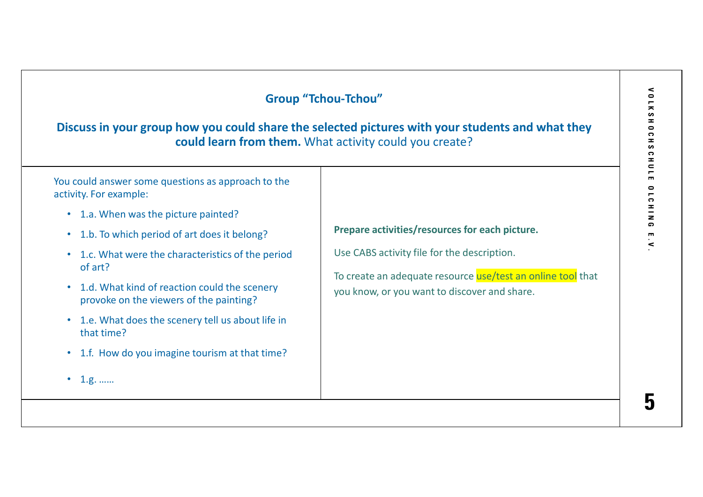| Discuss in your group how you could share the selected pictures with your students and what they<br>could learn from them. What activity could you create?                                                                                                                                                                                                                                                                                                       |                                                                                                                                                                                                              |  |  |  |
|------------------------------------------------------------------------------------------------------------------------------------------------------------------------------------------------------------------------------------------------------------------------------------------------------------------------------------------------------------------------------------------------------------------------------------------------------------------|--------------------------------------------------------------------------------------------------------------------------------------------------------------------------------------------------------------|--|--|--|
| You could answer some questions as approach to the<br>activity. For example:<br>• 1.a. When was the picture painted?<br>• 1.b. To which period of art does it belong?<br>• 1.c. What were the characteristics of the period<br>of art?<br>• 1.d. What kind of reaction could the scenery<br>provoke on the viewers of the painting?<br>1.e. What does the scenery tell us about life in<br>that time?<br>• 1.f. How do you imagine tourism at that time?<br>1.g. | Prepare activities/resources for each picture.<br>Use CABS activity file for the description.<br>To create an adequate resource use/test an online tool that<br>you know, or you want to discover and share. |  |  |  |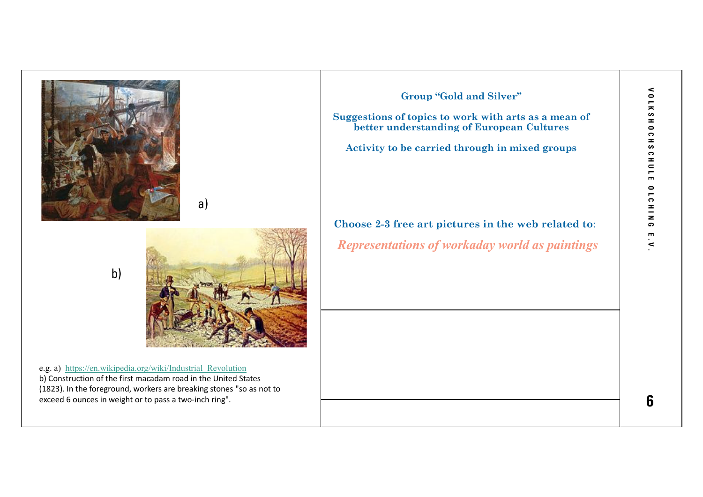



a)

b)

e.g. a) https://en.wikipedia.org/wiki/Industrial\_Revolution b) Construction of the first macadam road in the United States (1823). In the foreground, workers are breaking stones "so as not to exceed 6 ounces in weight or to pass a two-inch ring".

**Group "Gold and Silver"**

**Suggestions of topics to work with arts as a mean of better understanding of European Cultures**

**Activity to be carried through in mixed groups**

**Choose 2-3 free art pictures in the web related to**:*Representations of workaday world as paintings*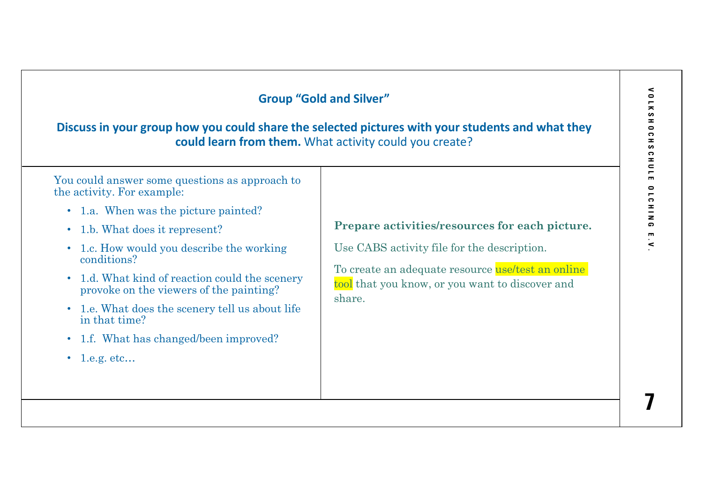## $\epsilon$ **V O L K S H O C H S C H U L E O L C H I N G E . V . Group "Gold and Silver"** $\bullet$  $\blacksquare$ KSH0CH **Discuss in your group how you could share the selected pictures with your students and what they could learn from them.** What activity could you create? 5  $\ddot{\bullet}$  $\pm$  $\overline{\phantom{0}}$ You could answer some questions as approach to  $\mathbf{m}$  $\bullet$ the activity. For example:**ICHIN** • 1.a. When was the picture painted?**Prepare activities/resources for each picture.**  $\bullet$ • 1.b. What does it represent? $\blacksquare$  $\prec$ Use CABS activity file for the description. • 1.c. How would you describe the working conditions?To create an adequate resource use/test an online • 1.d. What kind of reaction could the scenery tool that you know, or you want to discover and provoke on the viewers of the painting? share.• 1.e. What does the scenery tell us about life in that time? • 1.f. What has changed/been improved?• 1.e.g. etc... **7**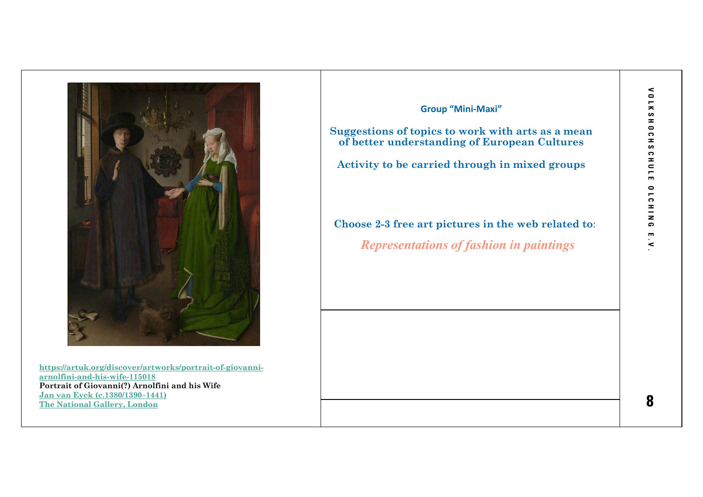

**https://artuk.org/discover/artworks/portrait-of-giovanniarnolfini-and-his-wife-115018 Portrait of Giovanni(?) Arnolfini and his Wife Jan van Eyck (c.1380/1390–1441) The National Gallery, London** 

## **Group "Mini-Maxi"**

**Suggestions of topics to work with arts as a mean of better understanding of European Cultures**

**Activity to be carried through in mixed groups**

**Choose 2-3 free art pictures in the web related to**:*Representations of fashion in paintings*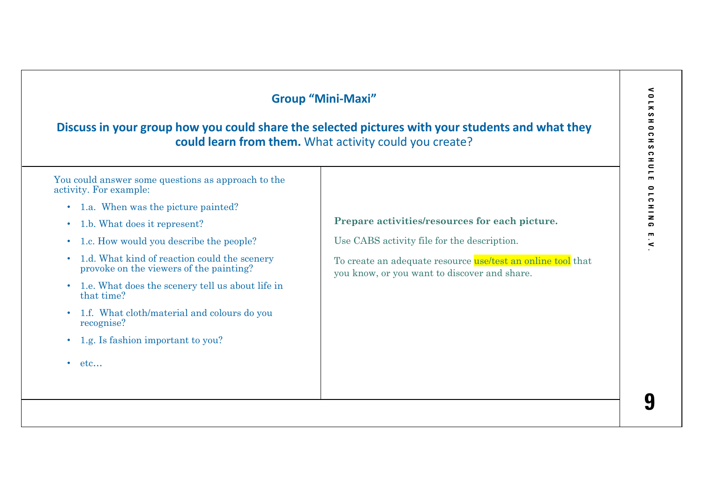## $\epsilon$ **V O L K S H O C H S C H U L E O L C H I N G E . V . Group "Mini-Maxi"** $\bullet$  $\overline{\phantom{m}}$  $\overline{\phantom{a}}$ **SHOCH Discuss in your group how you could share the selected pictures with your students and what they could learn from them.** What activity could you create? 5  $\ddot{\bullet}$  $\pm$  $\overline{\phantom{0}}$ You could answer some questions as approach to the  $\mathbf{m}$  $\bullet$ activity. For example: $\overline{c}$  $\frac{1}{2}$ • 1.a. When was the picture painted?**Prepare activities/resources for each picture.** • 1.b. What does it represent? $\bullet$  $\overline{\mathbf{m}}$ Use CABS activity file for the description. • 1.c. How would you describe the people?  $\prec$ • 1.d. What kind of reaction could the scenery To create an adequate resource use/test an online tool that provoke on the viewers of the painting? you know, or you want to discover and share.• 1.e. What does the scenery tell us about life in that time? • 1.f. What cloth/material and colours do you recognise?• 1.g. Is fashion important to you?•  $etc...$ **9**